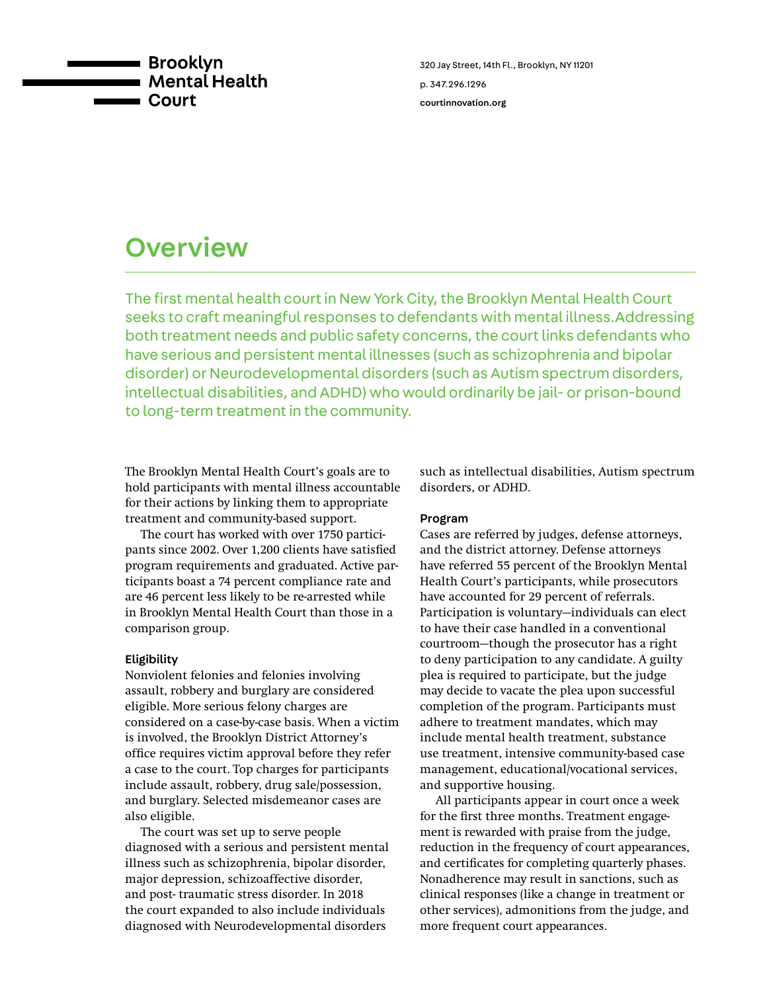

320 Jay Street, 14th Fl., Brooklyn, NY 11201 p. 347.296.1296 [courtinnovation.org](https://www.courtinnovation.org/programs/brooklyn-mental-health-court)

## **Overview**

The first mental health court in New York City, the Brooklyn Mental Health Court seeks to craft meaningful responses to defendants with mental illness.Addressing both treatment needs and public safety concerns, the court links defendants who have serious and persistent mental illnesses (such as schizophrenia and bipolar disorder) or Neurodevelopmental disorders (such as Autism spectrum disorders, intellectual disabilities, and ADHD) who would ordinarily be jail- or prison-bound to long-term treatment in the community.

The Brooklyn Mental Health Court's goals are to hold participants with mental illness accountable for their actions by linking them to appropriate treatment and community-based support.

The court has worked with over 1750 participants since 2002. Over 1,200 clients have satisfied program requirements and graduated. Active participants boast a 74 percent compliance rate and are 46 percent less likely to be re-arrested while in Brooklyn Mental Health Court than those in a comparison group.

## Eligibility

Nonviolent felonies and felonies involving assault, robbery and burglary are considered eligible. More serious felony charges are considered on a case-by-case basis. When a victim is involved, the Brooklyn District Attorney's office requires victim approval before they refer a case to the court. Top charges for participants include assault, robbery, drug sale/possession, and burglary. Selected misdemeanor cases are also eligible.

The court was set up to serve people diagnosed with a serious and persistent mental illness such as schizophrenia, bipolar disorder, major depression, schizoaffective disorder, and post- traumatic stress disorder. In 2018 the court expanded to also include individuals diagnosed with Neurodevelopmental disorders

such as intellectual disabilities, Autism spectrum disorders, or ADHD.

## Program

Cases are referred by judges, defense attorneys, and the district attorney. Defense attorneys have referred 55 percent of the Brooklyn Mental Health Court's participants, while prosecutors have accounted for 29 percent of referrals. Participation is voluntary—individuals can elect to have their case handled in a conventional courtroom—though the prosecutor has a right to deny participation to any candidate. A guilty plea is required to participate, but the judge may decide to vacate the plea upon successful completion of the program. Participants must adhere to treatment mandates, which may include mental health treatment, substance use treatment, intensive community-based case management, educational/vocational services, and supportive housing.

All participants appear in court once a week for the first three months. Treatment engagement is rewarded with praise from the judge, reduction in the frequency of court appearances, and certificates for completing quarterly phases. Nonadherence may result in sanctions, such as clinical responses (like a change in treatment or other services), admonitions from the judge, and more frequent court appearances.